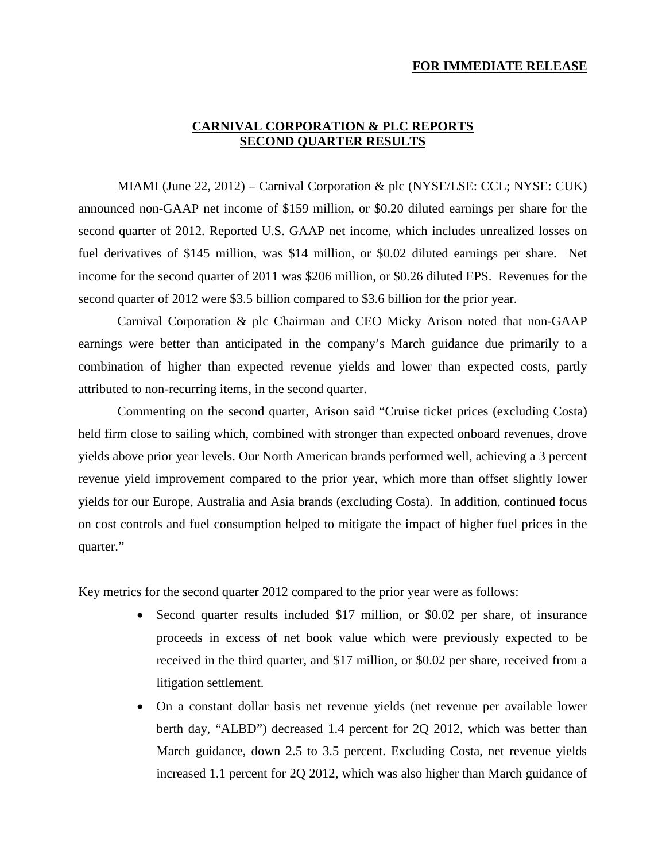### **FOR IMMEDIATE RELEASE**

# **CARNIVAL CORPORATION & PLC REPORTS SECOND QUARTER RESULTS**

MIAMI (June 22, 2012) – Carnival Corporation & plc (NYSE/LSE: CCL; NYSE: CUK) announced non-GAAP net income of \$159 million, or \$0.20 diluted earnings per share for the second quarter of 2012. Reported U.S. GAAP net income, which includes unrealized losses on fuel derivatives of \$145 million, was \$14 million, or \$0.02 diluted earnings per share. Net income for the second quarter of 2011 was \$206 million, or \$0.26 diluted EPS. Revenues for the second quarter of 2012 were \$3.5 billion compared to \$3.6 billion for the prior year.

Carnival Corporation & plc Chairman and CEO Micky Arison noted that non-GAAP earnings were better than anticipated in the company's March guidance due primarily to a combination of higher than expected revenue yields and lower than expected costs, partly attributed to non-recurring items, in the second quarter.

Commenting on the second quarter, Arison said "Cruise ticket prices (excluding Costa) held firm close to sailing which, combined with stronger than expected onboard revenues, drove yields above prior year levels. Our North American brands performed well, achieving a 3 percent revenue yield improvement compared to the prior year, which more than offset slightly lower yields for our Europe, Australia and Asia brands (excluding Costa). In addition, continued focus on cost controls and fuel consumption helped to mitigate the impact of higher fuel prices in the quarter."

Key metrics for the second quarter 2012 compared to the prior year were as follows:

- Second quarter results included \$17 million, or \$0.02 per share, of insurance proceeds in excess of net book value which were previously expected to be received in the third quarter, and \$17 million, or \$0.02 per share, received from a litigation settlement.
- On a constant dollar basis net revenue yields (net revenue per available lower berth day, "ALBD") decreased 1.4 percent for 2Q 2012, which was better than March guidance, down 2.5 to 3.5 percent. Excluding Costa, net revenue yields increased 1.1 percent for 2Q 2012, which was also higher than March guidance of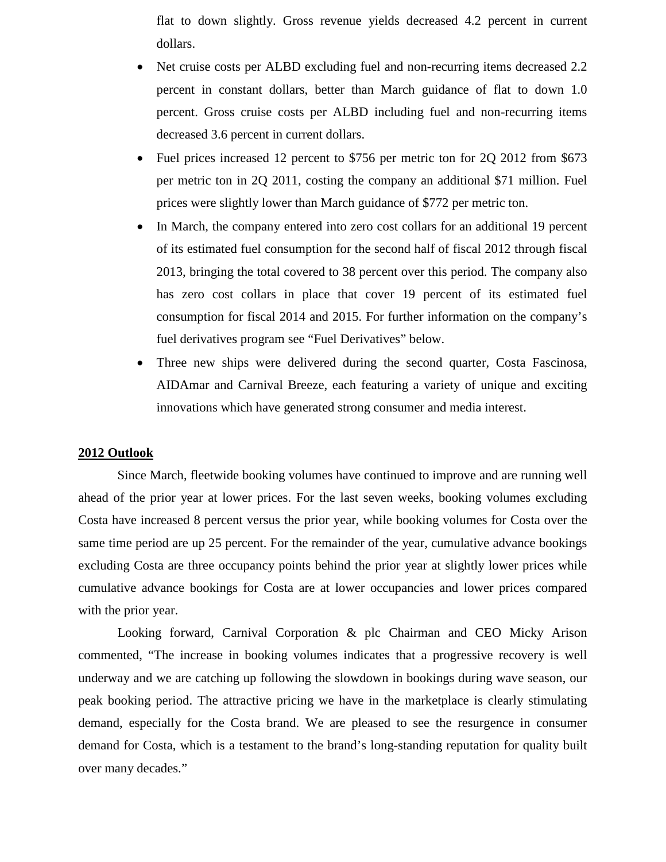flat to down slightly. Gross revenue yields decreased 4.2 percent in current dollars.

- Net cruise costs per ALBD excluding fuel and non-recurring items decreased 2.2 percent in constant dollars, better than March guidance of flat to down 1.0 percent. Gross cruise costs per ALBD including fuel and non-recurring items decreased 3.6 percent in current dollars.
- Fuel prices increased 12 percent to \$756 per metric ton for 2Q 2012 from \$673 per metric ton in 2Q 2011, costing the company an additional \$71 million. Fuel prices were slightly lower than March guidance of \$772 per metric ton.
- In March, the company entered into zero cost collars for an additional 19 percent of its estimated fuel consumption for the second half of fiscal 2012 through fiscal 2013, bringing the total covered to 38 percent over this period. The company also has zero cost collars in place that cover 19 percent of its estimated fuel consumption for fiscal 2014 and 2015. For further information on the company's fuel derivatives program see "Fuel Derivatives" below.
- Three new ships were delivered during the second quarter, Costa Fascinosa, AIDAmar and Carnival Breeze, each featuring a variety of unique and exciting innovations which have generated strong consumer and media interest.

## **2012 Outlook**

Since March, fleetwide booking volumes have continued to improve and are running well ahead of the prior year at lower prices. For the last seven weeks, booking volumes excluding Costa have increased 8 percent versus the prior year, while booking volumes for Costa over the same time period are up 25 percent. For the remainder of the year, cumulative advance bookings excluding Costa are three occupancy points behind the prior year at slightly lower prices while cumulative advance bookings for Costa are at lower occupancies and lower prices compared with the prior year.

Looking forward, Carnival Corporation & plc Chairman and CEO Micky Arison commented, "The increase in booking volumes indicates that a progressive recovery is well underway and we are catching up following the slowdown in bookings during wave season, our peak booking period. The attractive pricing we have in the marketplace is clearly stimulating demand, especially for the Costa brand. We are pleased to see the resurgence in consumer demand for Costa, which is a testament to the brand's long-standing reputation for quality built over many decades."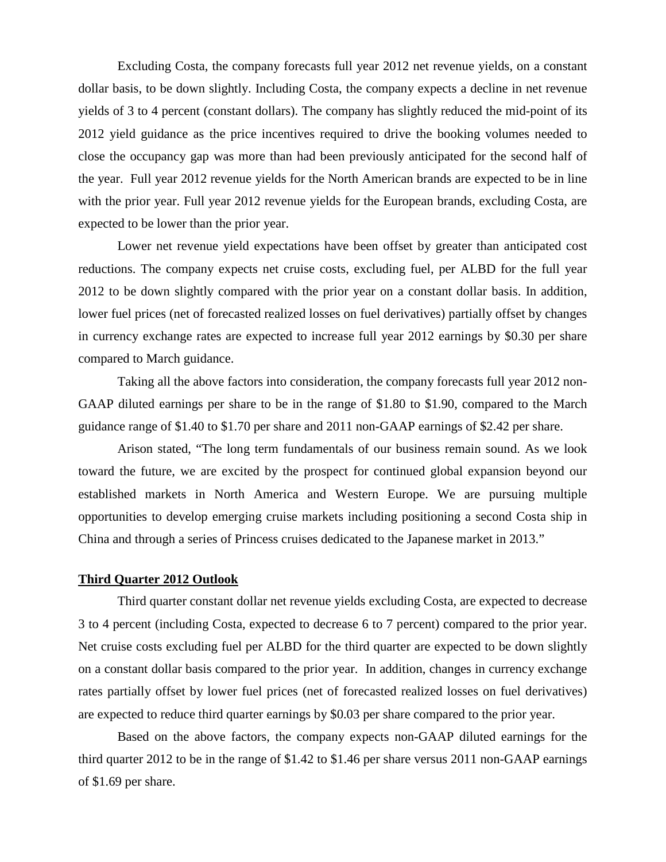Excluding Costa, the company forecasts full year 2012 net revenue yields, on a constant dollar basis, to be down slightly. Including Costa, the company expects a decline in net revenue yields of 3 to 4 percent (constant dollars). The company has slightly reduced the mid-point of its 2012 yield guidance as the price incentives required to drive the booking volumes needed to close the occupancy gap was more than had been previously anticipated for the second half of the year. Full year 2012 revenue yields for the North American brands are expected to be in line with the prior year. Full year 2012 revenue yields for the European brands, excluding Costa, are expected to be lower than the prior year.

Lower net revenue yield expectations have been offset by greater than anticipated cost reductions. The company expects net cruise costs, excluding fuel, per ALBD for the full year 2012 to be down slightly compared with the prior year on a constant dollar basis. In addition, lower fuel prices (net of forecasted realized losses on fuel derivatives) partially offset by changes in currency exchange rates are expected to increase full year 2012 earnings by \$0.30 per share compared to March guidance.

Taking all the above factors into consideration, the company forecasts full year 2012 non-GAAP diluted earnings per share to be in the range of \$1.80 to \$1.90, compared to the March guidance range of \$1.40 to \$1.70 per share and 2011 non-GAAP earnings of \$2.42 per share.

Arison stated, "The long term fundamentals of our business remain sound. As we look toward the future, we are excited by the prospect for continued global expansion beyond our established markets in North America and Western Europe. We are pursuing multiple opportunities to develop emerging cruise markets including positioning a second Costa ship in China and through a series of Princess cruises dedicated to the Japanese market in 2013."

#### **Third Quarter 2012 Outlook**

Third quarter constant dollar net revenue yields excluding Costa, are expected to decrease 3 to 4 percent (including Costa, expected to decrease 6 to 7 percent) compared to the prior year. Net cruise costs excluding fuel per ALBD for the third quarter are expected to be down slightly on a constant dollar basis compared to the prior year. In addition, changes in currency exchange rates partially offset by lower fuel prices (net of forecasted realized losses on fuel derivatives) are expected to reduce third quarter earnings by \$0.03 per share compared to the prior year.

Based on the above factors, the company expects non-GAAP diluted earnings for the third quarter 2012 to be in the range of \$1.42 to \$1.46 per share versus 2011 non-GAAP earnings of \$1.69 per share.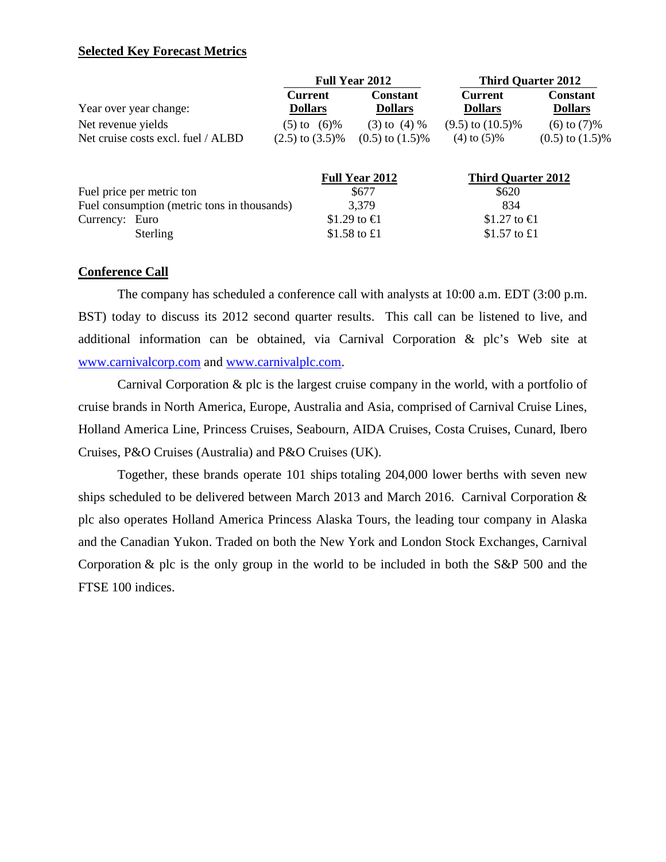# **Selected Key Forecast Metrics**

|                                                          |                                          | Full Year 2012                           | <b>Third Quarter 2012</b>                 |                                          |  |  |
|----------------------------------------------------------|------------------------------------------|------------------------------------------|-------------------------------------------|------------------------------------------|--|--|
| Year over year change:                                   | <b>Current</b><br><b>Dollars</b>         | <b>Constant</b><br><b>Dollars</b>        | <b>Current</b><br><b>Dollars</b>          | <b>Constant</b><br><b>Dollars</b>        |  |  |
| Net revenue yields<br>Net cruise costs excl. fuel / ALBD | $(5)$ to $(6)\%$<br>$(2.5)$ to $(3.5)\%$ | $(3)$ to $(4)$ %<br>$(0.5)$ to $(1.5)\%$ | $(9.5)$ to $(10.5)\%$<br>$(4)$ to $(5)\%$ | $(6)$ to $(7)\%$<br>$(0.5)$ to $(1.5)\%$ |  |  |
|                                                          |                                          | <b>Full Year 2012</b>                    | <b>Third Quarter 2012</b>                 |                                          |  |  |
| Fuel price per metric ton                                |                                          | \$677                                    | \$620                                     |                                          |  |  |
| Fuel consumption (metric tons in thousands)              |                                          | 3,379                                    | 834                                       |                                          |  |  |
| Currency: Euro                                           |                                          | \$1.29 to <del>€</del>                   | \$1.27 to <del>€</del>                    |                                          |  |  |

# **Conference Call**

The company has scheduled a conference call with analysts at 10:00 a.m. EDT (3:00 p.m. BST) today to discuss its 2012 second quarter results. This call can be listened to live, and additional information can be obtained, via Carnival Corporation & plc's Web site at [www.carnivalcorp.com](http://www.carnivalcorp.com/) and [www.carnivalplc.com.](http://www.carnivalplc.com/)

Sterling  $$1.58 \text{ to } £1$   $$1.57 \text{ to } £1$ 

Carnival Corporation & plc is the largest cruise company in the world, with a portfolio of cruise brands in North America, Europe, Australia and Asia, comprised of Carnival Cruise Lines, Holland America Line, Princess Cruises, Seabourn, AIDA Cruises, Costa Cruises, Cunard, Ibero Cruises, P&O Cruises (Australia) and P&O Cruises (UK).

Together, these brands operate 101 ships totaling 204,000 lower berths with seven new ships scheduled to be delivered between March 2013 and March 2016. Carnival Corporation & plc also operates Holland America Princess Alaska Tours, the leading tour company in Alaska and the Canadian Yukon. Traded on both the New York and London Stock Exchanges, Carnival Corporation & plc is the only group in the world to be included in both the S&P 500 and the FTSE 100 indices.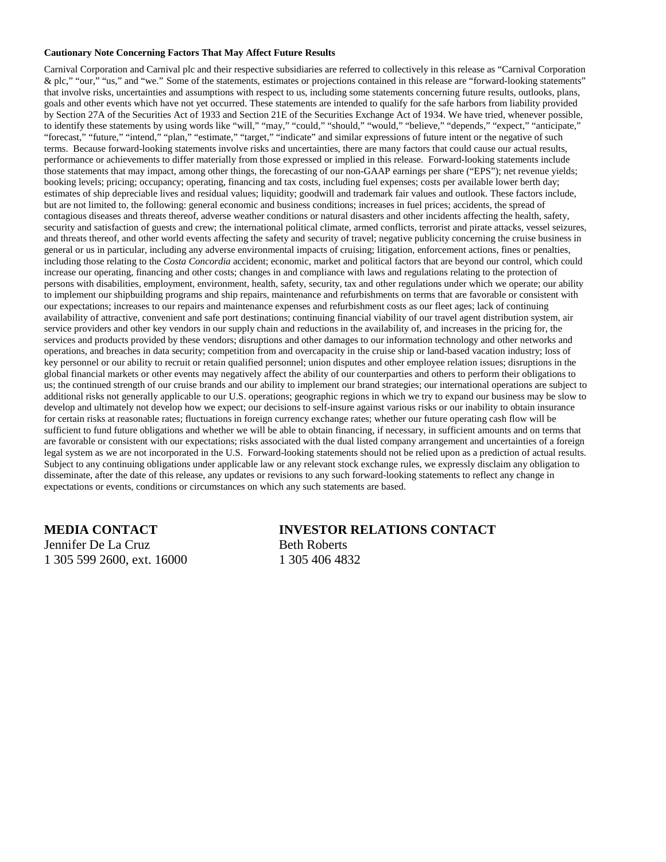#### **Cautionary Note Concerning Factors That May Affect Future Results**

Carnival Corporation and Carnival plc and their respective subsidiaries are referred to collectively in this release as "Carnival Corporation & plc," "our," "us," and "we." Some of the statements, estimates or projections contained in this release are "forward-looking statements" that involve risks, uncertainties and assumptions with respect to us, including some statements concerning future results, outlooks, plans, goals and other events which have not yet occurred. These statements are intended to qualify for the safe harbors from liability provided by Section 27A of the Securities Act of 1933 and Section 21E of the Securities Exchange Act of 1934. We have tried, whenever possible, to identify these statements by using words like "will," "may," "could," "should," "would," "believe," "depends," "expect," "anticipate," "forecast," "future," "intend," "plan," "estimate," "target," "indicate" and similar expressions of future intent or the negative of such terms. Because forward-looking statements involve risks and uncertainties, there are many factors that could cause our actual results, performance or achievements to differ materially from those expressed or implied in this release. Forward-looking statements include those statements that may impact, among other things, the forecasting of our non-GAAP earnings per share ("EPS"); net revenue yields; booking levels; pricing; occupancy; operating, financing and tax costs, including fuel expenses; costs per available lower berth day; estimates of ship depreciable lives and residual values; liquidity; goodwill and trademark fair values and outlook. These factors include, but are not limited to, the following: general economic and business conditions; increases in fuel prices; accidents, the spread of contagious diseases and threats thereof, adverse weather conditions or natural disasters and other incidents affecting the health, safety, security and satisfaction of guests and crew; the international political climate, armed conflicts, terrorist and pirate attacks, vessel seizures, and threats thereof, and other world events affecting the safety and security of travel; negative publicity concerning the cruise business in general or us in particular, including any adverse environmental impacts of cruising; litigation, enforcement actions, fines or penalties, including those relating to the *Costa Concordia* accident; economic, market and political factors that are beyond our control, which could increase our operating, financing and other costs; changes in and compliance with laws and regulations relating to the protection of persons with disabilities, employment, environment, health, safety, security, tax and other regulations under which we operate; our ability to implement our shipbuilding programs and ship repairs, maintenance and refurbishments on terms that are favorable or consistent with our expectations; increases to our repairs and maintenance expenses and refurbishment costs as our fleet ages; lack of continuing availability of attractive, convenient and safe port destinations; continuing financial viability of our travel agent distribution system, air service providers and other key vendors in our supply chain and reductions in the availability of, and increases in the pricing for, the services and products provided by these vendors; disruptions and other damages to our information technology and other networks and operations, and breaches in data security; competition from and overcapacity in the cruise ship or land-based vacation industry; loss of key personnel or our ability to recruit or retain qualified personnel; union disputes and other employee relation issues; disruptions in the global financial markets or other events may negatively affect the ability of our counterparties and others to perform their obligations to us; the continued strength of our cruise brands and our ability to implement our brand strategies; our international operations are subject to additional risks not generally applicable to our U.S. operations; geographic regions in which we try to expand our business may be slow to develop and ultimately not develop how we expect; our decisions to self-insure against various risks or our inability to obtain insurance for certain risks at reasonable rates; fluctuations in foreign currency exchange rates; whether our future operating cash flow will be sufficient to fund future obligations and whether we will be able to obtain financing, if necessary, in sufficient amounts and on terms that are favorable or consistent with our expectations; risks associated with the dual listed company arrangement and uncertainties of a foreign legal system as we are not incorporated in the U.S. Forward-looking statements should not be relied upon as a prediction of actual results. Subject to any continuing obligations under applicable law or any relevant stock exchange rules, we expressly disclaim any obligation to disseminate, after the date of this release, any updates or revisions to any such forward-looking statements to reflect any change in expectations or events, conditions or circumstances on which any such statements are based.

Jennifer De La Cruz Beth Roberts 1 305 599 2600, ext. 16000 1 305 406 4832

## **MEDIA CONTACT INVESTOR RELATIONS CONTACT**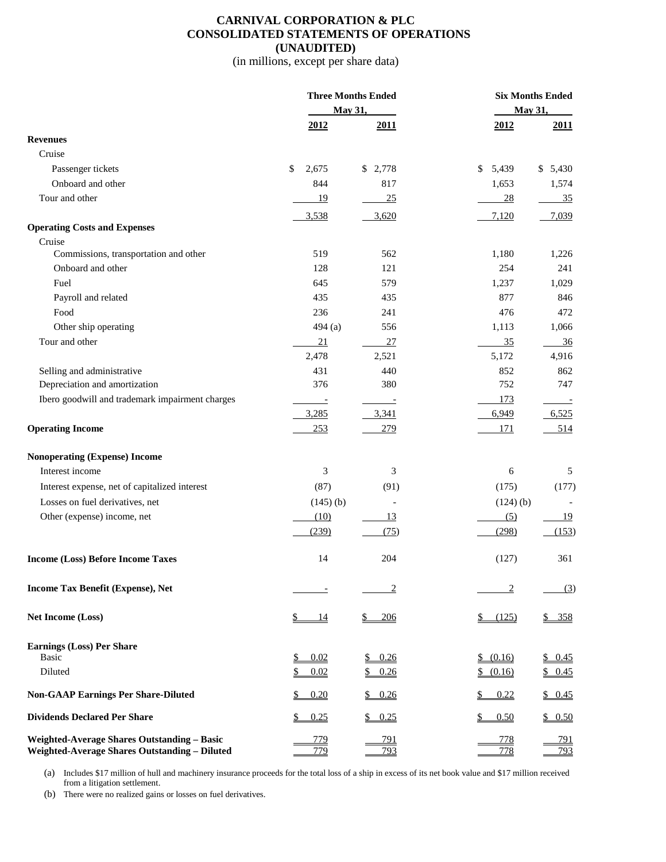# **CARNIVAL CORPORATION & PLC CONSOLIDATED STATEMENTS OF OPERATIONS (UNAUDITED)**

(in millions, except per share data)

|                                                                                              |                      | <b>Three Months Ended</b> | <b>Six Months Ended</b>  |
|----------------------------------------------------------------------------------------------|----------------------|---------------------------|--------------------------|
|                                                                                              |                      | <b>May 31,</b>            | May 31,                  |
|                                                                                              | 2012                 | 2011                      | 2012<br>2011             |
| <b>Revenues</b>                                                                              |                      |                           |                          |
| Cruise                                                                                       |                      |                           |                          |
| Passenger tickets                                                                            | \$<br>2,675          | \$2,778                   | \$<br>5,439<br>\$5,430   |
| Onboard and other                                                                            | 844                  | 817                       | 1,574<br>1,653           |
| Tour and other                                                                               | 19                   | 25                        | <u>28</u><br>35          |
|                                                                                              | 3,538                | 3,620                     | 7,039<br>7,120           |
| <b>Operating Costs and Expenses</b>                                                          |                      |                           |                          |
| Cruise                                                                                       |                      |                           |                          |
| Commissions, transportation and other                                                        | 519                  | 562                       | 1,180<br>1,226           |
| Onboard and other                                                                            | 128                  | 121                       | 254<br>241               |
| Fuel                                                                                         | 645                  | 579                       | 1,029<br>1,237           |
| Payroll and related                                                                          | 435                  | 435                       | 877<br>846               |
| Food                                                                                         | 236                  | 241                       | 476<br>472               |
| Other ship operating                                                                         | 494(a)               | 556                       | 1,113<br>1,066           |
| Tour and other                                                                               | 21                   | 27                        | 35<br>36                 |
|                                                                                              | 2,478                | 2,521                     | 5,172<br>4,916           |
| Selling and administrative                                                                   | 431                  | 440                       | 852<br>862               |
| Depreciation and amortization                                                                | 376                  | 380                       | 752<br>747               |
| Ibero goodwill and trademark impairment charges                                              | $\sim$               |                           | <u>173</u>               |
|                                                                                              | 3,285                | 3,341                     | 6,949<br>6,525           |
| <b>Operating Income</b>                                                                      | 253                  | 279                       | 514<br>171               |
| <b>Nonoperating (Expense) Income</b>                                                         |                      |                           |                          |
| Interest income                                                                              | 3                    | 3                         | 6<br>5                   |
| Interest expense, net of capitalized interest                                                | (87)                 | (91)                      | (175)<br>(177)           |
| Losses on fuel derivatives, net                                                              | $(145)$ (b)          |                           | (124)(b)                 |
| Other (expense) income, net                                                                  | (10)                 | <u>13</u>                 | (5)<br><u>19</u>         |
|                                                                                              | (239)                | (75)                      | (298)<br>(153)           |
|                                                                                              |                      |                           |                          |
| <b>Income (Loss) Before Income Taxes</b>                                                     | 14                   | 204                       | (127)<br>361             |
| Income Tax Benefit (Expense), Net                                                            |                      | $\overline{2}$            | $\overline{2}$<br>(3)    |
| <b>Net Income (Loss)</b>                                                                     | \$<br>$\frac{14}{1}$ | 206<br>$\mathbb{S}^-$     | (125)<br>\$358<br>\$     |
| <b>Earnings (Loss) Per Share</b>                                                             |                      |                           |                          |
| Basic                                                                                        | 0.02<br>\$           | \$0.26                    | \$ (0.16)<br>\$0.45      |
| Diluted                                                                                      | 0.02                 | \$0.26                    | \$ (0.16)<br>\$0.45      |
| <b>Non-GAAP Earnings Per Share-Diluted</b>                                                   | 0.20<br>\$           | \$ 0.26                   | 0.22<br>\$0.45           |
| <b>Dividends Declared Per Share</b>                                                          | 0.25                 | \$ 0.25                   | 0.50<br>\$0.50           |
| Weighted-Average Shares Outstanding - Basic<br>Weighted-Average Shares Outstanding - Diluted | 779<br>779           | 791<br>793                | 778<br>791<br>778<br>793 |

(a) Includes \$17 million of hull and machinery insurance proceeds for the total loss of a ship in excess of its net book value and \$17 million received from a litigation settlement.

(b) There were no realized gains or losses on fuel derivatives.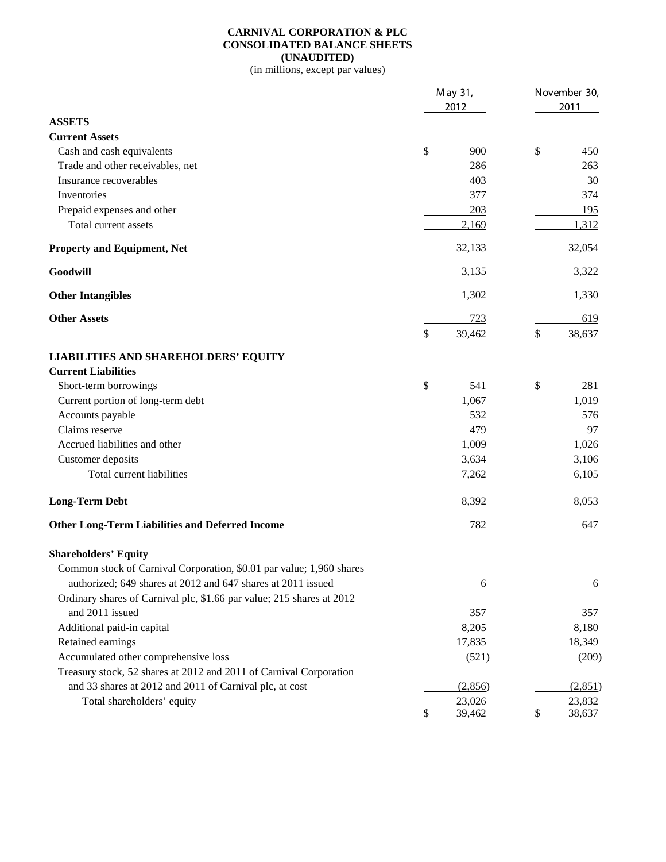## **CARNIVAL CORPORATION & PLC CONSOLIDATED BALANCE SHEETS (UNAUDITED)**

(in millions, except par values)

|                                                                       | May 31,<br>2012 | November 30,<br>2011 |         |  |
|-----------------------------------------------------------------------|-----------------|----------------------|---------|--|
| <b>ASSETS</b>                                                         |                 |                      |         |  |
| <b>Current Assets</b>                                                 |                 |                      |         |  |
| Cash and cash equivalents                                             | \$<br>900       | \$                   | 450     |  |
| Trade and other receivables, net                                      | 286             |                      | 263     |  |
| Insurance recoverables                                                | 403             |                      | 30      |  |
| Inventories                                                           | 377             |                      | 374     |  |
| Prepaid expenses and other                                            | 203             |                      | 195     |  |
| Total current assets                                                  | 2,169           |                      | 1,312   |  |
| <b>Property and Equipment, Net</b>                                    | 32,133          |                      | 32,054  |  |
| Goodwill                                                              | 3,135           |                      | 3,322   |  |
| <b>Other Intangibles</b>                                              | 1,302           |                      | 1,330   |  |
| <b>Other Assets</b>                                                   | 723             |                      | 619     |  |
|                                                                       | \$<br>39,462    | \$                   | 38,637  |  |
| <b>LIABILITIES AND SHAREHOLDERS' EQUITY</b>                           |                 |                      |         |  |
| <b>Current Liabilities</b>                                            |                 |                      |         |  |
| Short-term borrowings                                                 | \$<br>541       | \$                   | 281     |  |
| Current portion of long-term debt                                     | 1,067           |                      | 1,019   |  |
| Accounts payable                                                      | 532             |                      | 576     |  |
| Claims reserve                                                        | 479             |                      | 97      |  |
| Accrued liabilities and other                                         | 1,009           |                      | 1,026   |  |
| Customer deposits                                                     | 3,634           |                      | 3,106   |  |
| Total current liabilities                                             | 7,262           |                      | 6,105   |  |
| <b>Long-Term Debt</b>                                                 | 8,392           |                      | 8,053   |  |
| <b>Other Long-Term Liabilities and Deferred Income</b>                | 782             |                      | 647     |  |
| <b>Shareholders' Equity</b>                                           |                 |                      |         |  |
| Common stock of Carnival Corporation, \$0.01 par value; 1,960 shares  |                 |                      |         |  |
| authorized; 649 shares at 2012 and 647 shares at 2011 issued          | 6               |                      | $6\,$   |  |
| Ordinary shares of Carnival plc, \$1.66 par value; 215 shares at 2012 |                 |                      |         |  |
| and 2011 issued                                                       | 357             |                      | 357     |  |
| Additional paid-in capital                                            | 8,205           |                      | 8,180   |  |
| Retained earnings                                                     | 17,835          |                      | 18,349  |  |
| Accumulated other comprehensive loss                                  | (521)           |                      | (209)   |  |
| Treasury stock, 52 shares at 2012 and 2011 of Carnival Corporation    |                 |                      |         |  |
| and 33 shares at 2012 and 2011 of Carnival plc, at cost               | (2,856)         |                      | (2,851) |  |
| Total shareholders' equity                                            | 23,026          |                      | 23,832  |  |
|                                                                       | 39,462          | \$                   | 38,637  |  |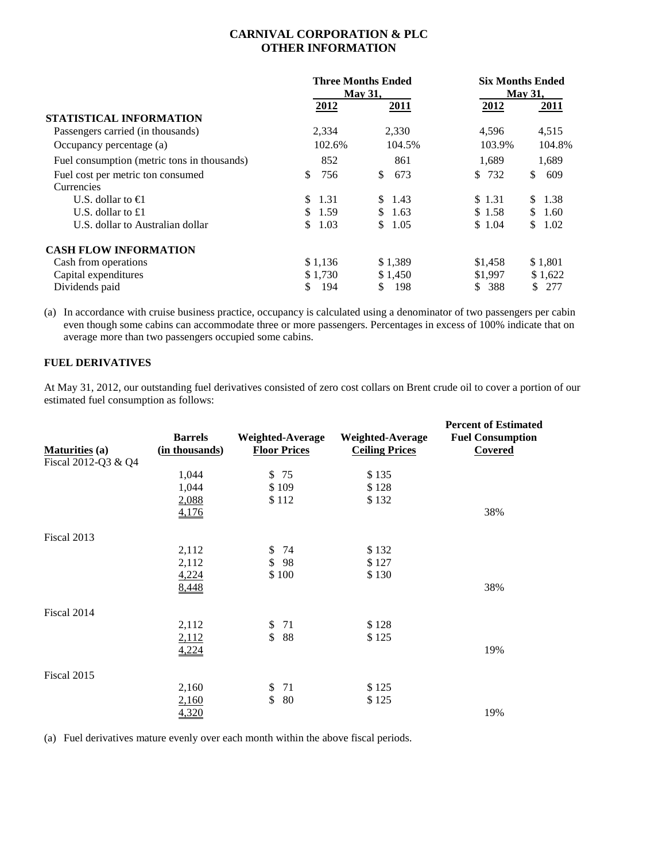## **CARNIVAL CORPORATION & PLC OTHER INFORMATION**

|                                             | <b>Three Months Ended</b><br><b>May 31,</b> |            |           | <b>Six Months Ended</b><br><b>May 31,</b> |
|---------------------------------------------|---------------------------------------------|------------|-----------|-------------------------------------------|
|                                             | <u>2012</u>                                 | 2011       | 2012      | 2011                                      |
| STATISTICAL INFORMATION                     |                                             |            |           |                                           |
| Passengers carried (in thousands)           | 2,334                                       | 2,330      | 4,596     | 4,515                                     |
| Occupancy percentage (a)                    | 102.6%                                      | 104.5%     | 103.9%    | 104.8%                                    |
| Fuel consumption (metric tons in thousands) | 852                                         | 861        | 1,689     | 1,689                                     |
| Fuel cost per metric ton consumed           | 756<br>\$.                                  | \$<br>673  | 732<br>\$ | \$<br>609                                 |
| Currencies                                  |                                             |            |           |                                           |
| U.S. dollar to $\bigoplus$                  | 1.31<br>S.                                  | \$<br>1.43 | \$1.31    | \$.<br>1.38                               |
| U.S. dollar to $£1$                         | \$1.59                                      | \$<br>1.63 | \$1.58    | \$.<br>1.60                               |
| U.S. dollar to Australian dollar            | 1.03                                        | \$<br>1.05 | \$1.04    | 1.02<br>\$                                |
| <b>CASH FLOW INFORMATION</b>                |                                             |            |           |                                           |
| Cash from operations                        | \$1,136                                     | \$1,389    | \$1,458   | \$1,801                                   |
| Capital expenditures                        | \$1,730                                     | \$1,450    | \$1,997   | \$1,622                                   |
| Dividends paid                              | 194                                         | 198<br>\$  | 388<br>\$ | \$<br>277                                 |

(a) In accordance with cruise business practice, occupancy is calculated using a denominator of two passengers per cabin even though some cabins can accommodate three or more passengers. Percentages in excess of 100% indicate that on average more than two passengers occupied some cabins.

#### **FUEL DERIVATIVES**

At May 31, 2012, our outstanding fuel derivatives consisted of zero cost collars on Brent crude oil to cover a portion of our estimated fuel consumption as follows:

| <b>Maturities</b> (a)<br>Fiscal 2012-Q3 & Q4 | <b>Barrels</b><br>(in thousands) | Weighted-Average<br><b>Floor Prices</b> | Weighted-Average<br><b>Ceiling Prices</b> | <b>Percent of Estimated</b><br><b>Fuel Consumption</b><br><b>Covered</b> |
|----------------------------------------------|----------------------------------|-----------------------------------------|-------------------------------------------|--------------------------------------------------------------------------|
|                                              | 1,044                            | \$75                                    | \$135                                     |                                                                          |
|                                              | 1,044                            | \$109                                   | \$128                                     |                                                                          |
|                                              | 2,088                            | \$112                                   | \$132                                     |                                                                          |
|                                              | 4,176                            |                                         |                                           | 38%                                                                      |
| Fiscal 2013                                  |                                  |                                         |                                           |                                                                          |
|                                              | 2,112                            | \$74                                    | \$132                                     |                                                                          |
|                                              | 2,112                            | \$98                                    | \$127                                     |                                                                          |
|                                              | 4,224                            | \$100                                   | \$130                                     |                                                                          |
|                                              | 8,448                            |                                         |                                           | 38%                                                                      |
| Fiscal 2014                                  |                                  |                                         |                                           |                                                                          |
|                                              | 2,112                            | \$<br>71                                | \$128                                     |                                                                          |
|                                              | 2,112                            | $\mathbb{S}$<br>88                      | \$125                                     |                                                                          |
|                                              | 4,224                            |                                         |                                           | 19%                                                                      |
| Fiscal 2015                                  |                                  |                                         |                                           |                                                                          |
|                                              | 2,160                            | \$<br>71                                | \$125                                     |                                                                          |
|                                              | 2,160                            | \$<br>80                                | \$125                                     |                                                                          |
|                                              | 4,320                            |                                         |                                           | 19%                                                                      |

(a) Fuel derivatives mature evenly over each month within the above fiscal periods.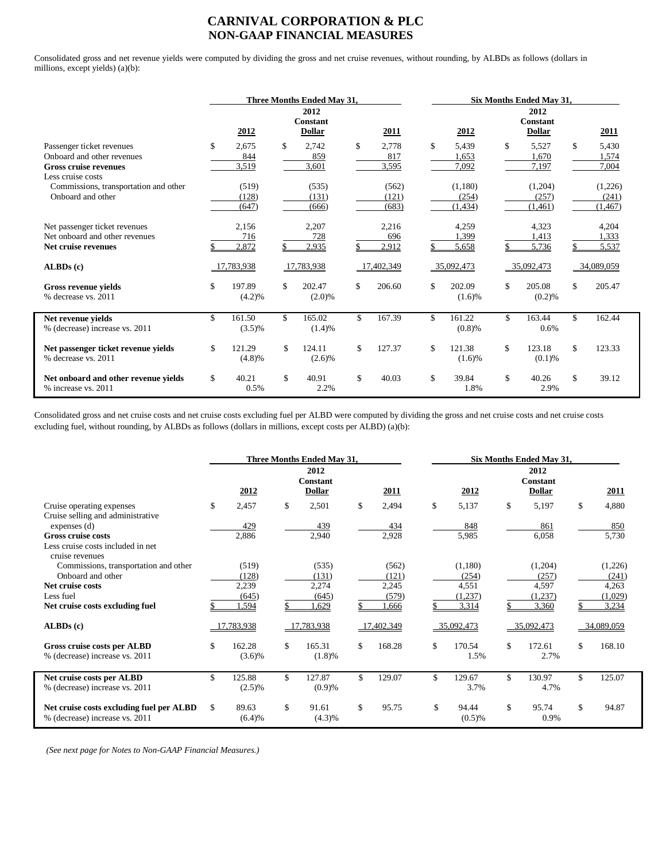## **CARNIVAL CORPORATION & PLC NON-GAAP FINANCIAL MEASURES**

Consolidated gross and net revenue yields were computed by dividing the gross and net cruise revenues, without rounding, by ALBDs as follows (dollars in millions, except yields) (a)(b):

|                                                                                                                                                                            | <b>Three Months Ended May 31.</b> |                                                  |     |                                                  |    | <b>Six Months Ended May 31.</b>                  |    |                                                         |    |                                                        |    |                                                         |
|----------------------------------------------------------------------------------------------------------------------------------------------------------------------------|-----------------------------------|--------------------------------------------------|-----|--------------------------------------------------|----|--------------------------------------------------|----|---------------------------------------------------------|----|--------------------------------------------------------|----|---------------------------------------------------------|
|                                                                                                                                                                            |                                   | 2012                                             |     | 2012<br>Constant<br><b>Dollar</b>                |    | 2011                                             |    | 2012                                                    |    | 2012<br>Constant<br><b>Dollar</b>                      |    | 2011                                                    |
| Passenger ticket revenues<br>Onboard and other revenues<br><b>Gross cruise revenues</b><br>Less cruise costs<br>Commissions, transportation and other<br>Onboard and other | \$                                | 2,675<br>844<br>3,519<br>(519)<br>(128)<br>(647) | \$  | 2.742<br>859<br>3,601<br>(535)<br>(131)<br>(666) | \$ | 2.778<br>817<br>3,595<br>(562)<br>(121)<br>(683) | \$ | 5,439<br>1,653<br>7,092<br>(1,180)<br>(254)<br>(1, 434) | \$ | 5,527<br>1,670<br>7,197<br>(1,204)<br>(257)<br>(1,461) | \$ | 5,430<br>1,574<br>7,004<br>(1,226)<br>(241)<br>(1, 467) |
| Net passenger ticket revenues<br>Net onboard and other revenues<br>Net cruise revenues                                                                                     |                                   | 2,156<br>716<br>2,872                            |     | 2,207<br>728<br>2,935                            |    | 2,216<br>696<br>2,912                            |    | 4,259<br>1,399<br>5,658                                 |    | 4,323<br>1,413<br>5,736                                |    | 4,204<br>1,333<br>5,537                                 |
| ALBDs(c)<br>Gross revenue yields<br>% decrease vs. 2011                                                                                                                    | \$                                | 17,783,938<br>197.89<br>(4.2)%                   | \$  | 17,783,938<br>202.47<br>(2.0)%                   | \$ | 17,402,349<br>206.60                             | \$ | 35,092,473<br>202.09<br>$(1.6)\%$                       | \$ | 35,092,473<br>205.08<br>(0.2)%                         | \$ | 34,089,059<br>205.47                                    |
| Net revenue yields<br>% (decrease) increase vs. 2011                                                                                                                       | \$                                | 161.50<br>$(3.5)\%$                              | \$. | 165.02<br>(1.4)%                                 | \$ | 167.39                                           | \$ | 161.22<br>(0.8)%                                        | \$ | 163.44<br>0.6%                                         | \$ | 162.44                                                  |
| Net passenger ticket revenue yields<br>% decrease vs. 2011                                                                                                                 | \$                                | 121.29<br>(4.8)%                                 | \$  | 124.11<br>(2.6)%                                 | \$ | 127.37                                           | \$ | 121.38<br>(1.6)%                                        | \$ | 123.18<br>(0.1)%                                       | \$ | 123.33                                                  |
| Net onboard and other revenue yields<br>% increase vs. 2011                                                                                                                | \$                                | 40.21<br>0.5%                                    | \$  | 40.91<br>2.2%                                    | \$ | 40.03                                            | \$ | 39.84<br>1.8%                                           | \$ | 40.26<br>2.9%                                          | \$ | 39.12                                                   |

Consolidated gross and net cruise costs and net cruise costs excluding fuel per ALBD were computed by dividing the gross and net cruise costs and net cruise costs excluding fuel, without rounding, by ALBDs as follows (dollars in millions, except costs per ALBD) (a)(b):

|                                                                            | <b>Three Months Ended May 31.</b> |                     |    |                                   |    | <b>Six Months Ended May 31.</b> |                          |    |                                          |    |            |  |  |
|----------------------------------------------------------------------------|-----------------------------------|---------------------|----|-----------------------------------|----|---------------------------------|--------------------------|----|------------------------------------------|----|------------|--|--|
|                                                                            |                                   | 2012                |    | 2012<br>Constant<br><b>Dollar</b> |    | 2011                            | 2012                     |    | 2012<br><b>Constant</b><br><b>Dollar</b> |    | 2011       |  |  |
| Cruise operating expenses<br>Cruise selling and administrative             | \$                                | 2,457               | \$ | 2,501                             | \$ | 2,494                           | \$<br>5,137              | \$ | 5,197                                    | \$ | 4,880      |  |  |
| expenses $(d)$<br><b>Gross cruise costs</b>                                |                                   | 429<br>2,886        |    | 439<br>2,940                      |    | 434<br>2,928                    | 848                      |    | 861<br>6,058                             |    | 850        |  |  |
| Less cruise costs included in net<br>cruise revenues                       |                                   |                     |    |                                   |    |                                 | 5,985                    |    |                                          |    | 5,730      |  |  |
| Commissions, transportation and other                                      |                                   | (519)               |    | (535)                             |    | (562)                           | (1,180)                  |    | (1,204)                                  |    | (1,226)    |  |  |
| Onboard and other                                                          |                                   | (128)               |    | (131)                             |    | (121)                           | (254)                    |    | (257)                                    |    | (241)      |  |  |
| Net cruise costs                                                           |                                   | 2,239               |    | 2,274                             |    | 2,245                           | 4,551                    |    | 4,597                                    |    | 4,263      |  |  |
| Less fuel                                                                  |                                   | (645)               |    | (645)                             |    | (579)                           | (1,237)                  |    | (1,237)                                  |    | (1,029)    |  |  |
| Net cruise costs excluding fuel                                            |                                   | .594                |    | .629                              |    | .666                            | 3,314                    |    | 3,360                                    |    | 3,234      |  |  |
| ALBDs(c)                                                                   |                                   | 17,783,938          |    | 17,783,938                        |    | 17,402,349                      | 35,092,473               |    | 35,092,473                               |    | 34,089,059 |  |  |
| Gross cruise costs per ALBD<br>% (decrease) increase vs. 2011              | \$                                | 162.28<br>$(3.6)\%$ | \$ | 165.31<br>(1.8)%                  | \$ | 168.28                          | \$<br>170.54<br>1.5%     | \$ | 172.61<br>2.7%                           | \$ | 168.10     |  |  |
| Net cruise costs per ALBD<br>% (decrease) increase vs. 2011                | \$                                | 125.88<br>(2.5)%    | \$ | 127.87<br>(0.9)%                  | \$ | 129.07                          | \$<br>129.67<br>3.7%     | \$ | 130.97<br>4.7%                           | \$ | 125.07     |  |  |
| Net cruise costs excluding fuel per ALBD<br>% (decrease) increase vs. 2011 | \$.                               | 89.63<br>(6.4)%     | \$ | 91.61<br>(4.3)%                   | \$ | 95.75                           | \$<br>94.44<br>$(0.5)$ % | \$ | 95.74<br>0.9%                            | \$ | 94.87      |  |  |

*(See next page for Notes to Non-GAAP Financial Measures.)*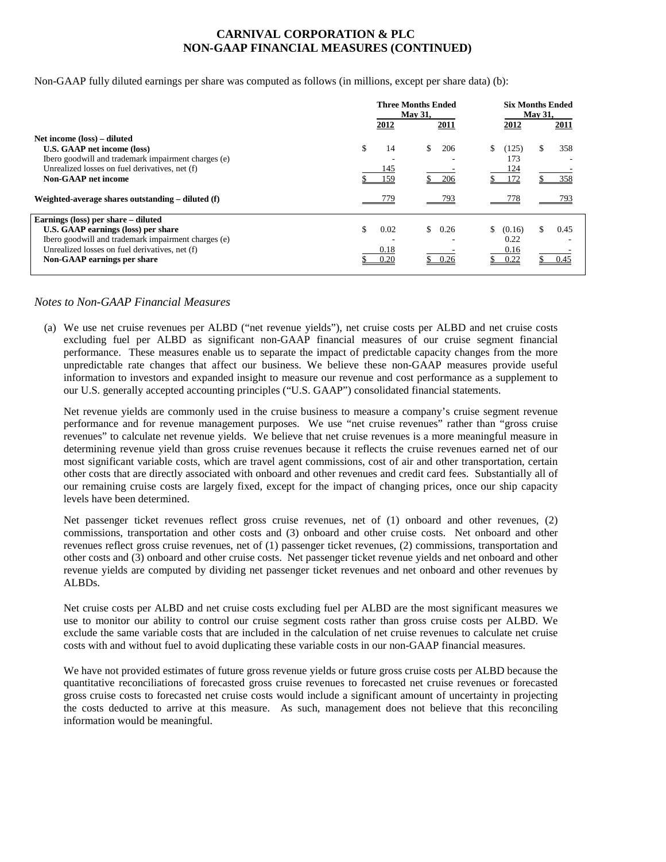## **CARNIVAL CORPORATION & PLC NON-GAAP FINANCIAL MEASURES (CONTINUED)**

Non-GAAP fully diluted earnings per share was computed as follows (in millions, except per share data) (b):

|                                                     | <b>Three Months Ended</b><br><b>May 31,</b> | <b>Six Months Ended</b><br><b>May 31,</b> |              |             |  |
|-----------------------------------------------------|---------------------------------------------|-------------------------------------------|--------------|-------------|--|
|                                                     | 2012                                        | 2011                                      | 2012         | 2011        |  |
| Net income (loss) – diluted                         |                                             |                                           |              |             |  |
| <b>U.S. GAAP net income (loss)</b>                  | \$<br>14                                    | \$<br>206                                 | \$<br>(125)  | 358         |  |
| Ibero goodwill and trademark impairment charges (e) |                                             |                                           | 173          |             |  |
| Unrealized losses on fuel derivatives, net (f)      | 145                                         |                                           | 124          |             |  |
| <b>Non-GAAP</b> net income                          | 159                                         | 206                                       | 172          | 358         |  |
| Weighted-average shares outstanding $-$ diluted (f) | 779                                         | 793                                       | 778          | 793         |  |
| Earnings (loss) per share – diluted                 |                                             |                                           |              |             |  |
| U.S. GAAP earnings (loss) per share                 | \$.<br>0.02                                 | $\mathbf{s}$<br>0.26                      | \$<br>(0.16) | 0.45<br>\$. |  |
| Ibero goodwill and trademark impairment charges (e) |                                             |                                           | 0.22         |             |  |
| Unrealized losses on fuel derivatives, net (f)      | 0.18                                        |                                           | 0.16         |             |  |
| Non-GAAP earnings per share                         | 0.20                                        | 0.26                                      | 0.22         | 0.45        |  |

#### *Notes to Non-GAAP Financial Measures*

(a) We use net cruise revenues per ALBD ("net revenue yields"), net cruise costs per ALBD and net cruise costs excluding fuel per ALBD as significant non-GAAP financial measures of our cruise segment financial performance. These measures enable us to separate the impact of predictable capacity changes from the more unpredictable rate changes that affect our business. We believe these non-GAAP measures provide useful information to investors and expanded insight to measure our revenue and cost performance as a supplement to our U.S. generally accepted accounting principles ("U.S. GAAP") consolidated financial statements.

Net revenue yields are commonly used in the cruise business to measure a company's cruise segment revenue performance and for revenue management purposes. We use "net cruise revenues" rather than "gross cruise revenues" to calculate net revenue yields. We believe that net cruise revenues is a more meaningful measure in determining revenue yield than gross cruise revenues because it reflects the cruise revenues earned net of our most significant variable costs, which are travel agent commissions, cost of air and other transportation, certain other costs that are directly associated with onboard and other revenues and credit card fees. Substantially all of our remaining cruise costs are largely fixed, except for the impact of changing prices, once our ship capacity levels have been determined.

Net passenger ticket revenues reflect gross cruise revenues, net of (1) onboard and other revenues, (2) commissions, transportation and other costs and (3) onboard and other cruise costs. Net onboard and other revenues reflect gross cruise revenues, net of (1) passenger ticket revenues, (2) commissions, transportation and other costs and (3) onboard and other cruise costs. Net passenger ticket revenue yields and net onboard and other revenue yields are computed by dividing net passenger ticket revenues and net onboard and other revenues by ALBDs.

Net cruise costs per ALBD and net cruise costs excluding fuel per ALBD are the most significant measures we use to monitor our ability to control our cruise segment costs rather than gross cruise costs per ALBD. We exclude the same variable costs that are included in the calculation of net cruise revenues to calculate net cruise costs with and without fuel to avoid duplicating these variable costs in our non-GAAP financial measures.

We have not provided estimates of future gross revenue yields or future gross cruise costs per ALBD because the quantitative reconciliations of forecasted gross cruise revenues to forecasted net cruise revenues or forecasted gross cruise costs to forecasted net cruise costs would include a significant amount of uncertainty in projecting the costs deducted to arrive at this measure. As such, management does not believe that this reconciling information would be meaningful.